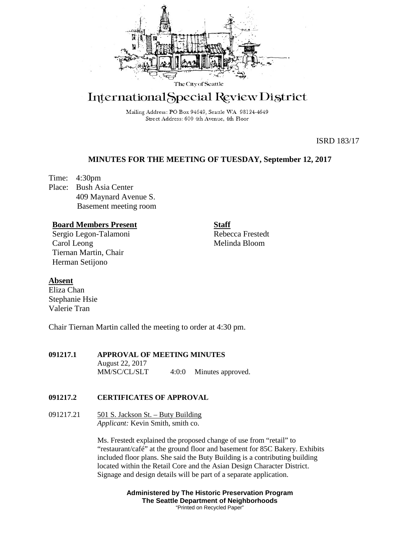

# International Special Review District

Mailing Address: PO Box 94649, Seattle WA 98124-4649 Street Address: 600 4th Avenue, 4th Floor

ISRD 183/17

# **MINUTES FOR THE MEETING OF TUESDAY, September 12, 2017**

Time: 4:30pm Place: Bush Asia Center 409 Maynard Avenue S. Basement meeting room

## **Board Members Present**

Sergio Legon-Talamoni Carol Leong Tiernan Martin, Chair Herman Setijono

**Staff** Rebecca Frestedt Melinda Bloom

## **Absent**

Eliza Chan Stephanie Hsie Valerie Tran

Chair Tiernan Martin called the meeting to order at 4:30 pm.

## **091217.1 APPROVAL OF MEETING MINUTES**

August 22, 2017 MM/SC/CL/SLT 4:0:0 Minutes approved.

## **091217.2 CERTIFICATES OF APPROVAL**

091217.21  $\qquad 501$  S. Jackson St. – Buty Building *Applicant:* Kevin Smith, smith co.

> Ms. Frestedt explained the proposed change of use from "retail" to "restaurant/café" at the ground floor and basement for 85C Bakery. Exhibits included floor plans. She said the Buty Building is a contributing building located within the Retail Core and the Asian Design Character District. Signage and design details will be part of a separate application.

> > **Administered by The Historic Preservation Program The Seattle Department of Neighborhoods** "Printed on Recycled Paper"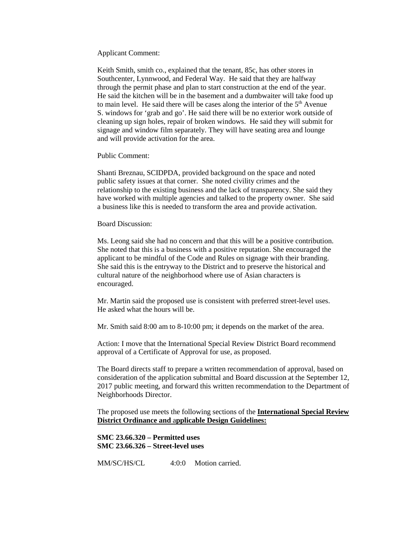Applicant Comment:

Keith Smith, smith co., explained that the tenant, 85c, has other stores in Southcenter, Lynnwood, and Federal Way. He said that they are halfway through the permit phase and plan to start construction at the end of the year. He said the kitchen will be in the basement and a dumbwaiter will take food up to main level. He said there will be cases along the interior of the 5<sup>th</sup> Avenue S. windows for 'grab and go'. He said there will be no exterior work outside of cleaning up sign holes, repair of broken windows. He said they will submit for signage and window film separately. They will have seating area and lounge and will provide activation for the area.

Public Comment:

Shanti Breznau, SCIDPDA, provided background on the space and noted public safety issues at that corner. She noted civility crimes and the relationship to the existing business and the lack of transparency. She said they have worked with multiple agencies and talked to the property owner. She said a business like this is needed to transform the area and provide activation.

Board Discussion:

Ms. Leong said she had no concern and that this will be a positive contribution. She noted that this is a business with a positive reputation. She encouraged the applicant to be mindful of the Code and Rules on signage with their branding. She said this is the entryway to the District and to preserve the historical and cultural nature of the neighborhood where use of Asian characters is encouraged.

Mr. Martin said the proposed use is consistent with preferred street-level uses. He asked what the hours will be.

Mr. Smith said 8:00 am to 8-10:00 pm; it depends on the market of the area.

Action: I move that the International Special Review District Board recommend approval of a Certificate of Approval for use, as proposed.

The Board directs staff to prepare a written recommendation of approval, based on consideration of the application submittal and Board discussion at the September 12, 2017 public meeting, and forward this written recommendation to the Department of Neighborhoods Director.

The proposed use meets the following sections of the **International Special Review District Ordinance and** a**pplicable Design Guidelines:**

**SMC 23.66.320 – Permitted uses SMC 23.66.326 – Street-level uses**

MM/SC/HS/CL 4:0:0 Motion carried.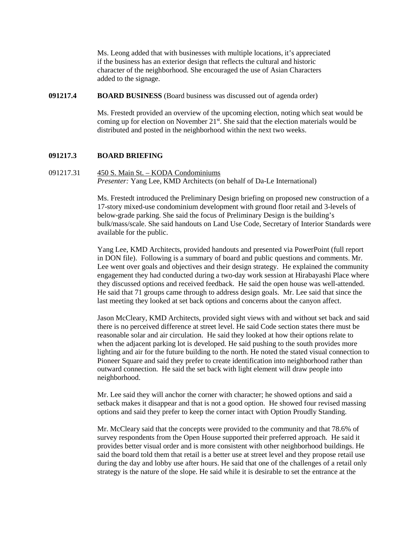Ms. Leong added that with businesses with multiple locations, it's appreciated if the business has an exterior design that reflects the cultural and historic character of the neighborhood. She encouraged the use of Asian Characters added to the signage.

## **091217.4 BOARD BUSINESS** (Board business was discussed out of agenda order)

Ms. Frestedt provided an overview of the upcoming election, noting which seat would be coming up for election on November  $21<sup>st</sup>$ . She said that the election materials would be distributed and posted in the neighborhood within the next two weeks.

## **091217.3 BOARD BRIEFING**

091217.31 450 S. Main St. – KODA Condominiums *Presenter:* Yang Lee, KMD Architects (on behalf of Da-Le International)

> Ms. Frestedt introduced the Preliminary Design briefing on proposed new construction of a 17-story mixed-use condominium development with ground floor retail and 3-levels of below-grade parking. She said the focus of Preliminary Design is the building's bulk/mass/scale. She said handouts on Land Use Code, Secretary of Interior Standards were available for the public.

> Yang Lee, KMD Architects, provided handouts and presented via PowerPoint (full report in DON file). Following is a summary of board and public questions and comments. Mr. Lee went over goals and objectives and their design strategy. He explained the community engagement they had conducted during a two-day work session at Hirabayashi Place where they discussed options and received feedback. He said the open house was well-attended. He said that 71 groups came through to address design goals. Mr. Lee said that since the last meeting they looked at set back options and concerns about the canyon affect.

> Jason McCleary, KMD Architects, provided sight views with and without set back and said there is no perceived difference at street level. He said Code section states there must be reasonable solar and air circulation. He said they looked at how their options relate to when the adjacent parking lot is developed. He said pushing to the south provides more lighting and air for the future building to the north. He noted the stated visual connection to Pioneer Square and said they prefer to create identification into neighborhood rather than outward connection. He said the set back with light element will draw people into neighborhood.

Mr. Lee said they will anchor the corner with character; he showed options and said a setback makes it disappear and that is not a good option. He showed four revised massing options and said they prefer to keep the corner intact with Option Proudly Standing.

Mr. McCleary said that the concepts were provided to the community and that 78.6% of survey respondents from the Open House supported their preferred approach. He said it provides better visual order and is more consistent with other neighborhood buildings. He said the board told them that retail is a better use at street level and they propose retail use during the day and lobby use after hours. He said that one of the challenges of a retail only strategy is the nature of the slope. He said while it is desirable to set the entrance at the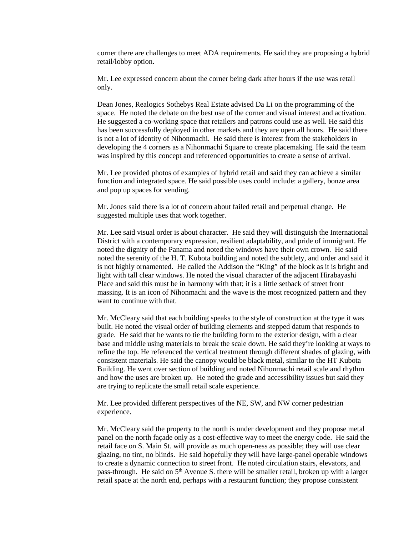corner there are challenges to meet ADA requirements. He said they are proposing a hybrid retail/lobby option.

Mr. Lee expressed concern about the corner being dark after hours if the use was retail only.

Dean Jones, Realogics Sothebys Real Estate advised Da Li on the programming of the space. He noted the debate on the best use of the corner and visual interest and activation. He suggested a co-working space that retailers and patrons could use as well. He said this has been successfully deployed in other markets and they are open all hours. He said there is not a lot of identity of Nihonmachi. He said there is interest from the stakeholders in developing the 4 corners as a Nihonmachi Square to create placemaking. He said the team was inspired by this concept and referenced opportunities to create a sense of arrival.

Mr. Lee provided photos of examples of hybrid retail and said they can achieve a similar function and integrated space. He said possible uses could include: a gallery, bonze area and pop up spaces for vending.

Mr. Jones said there is a lot of concern about failed retail and perpetual change. He suggested multiple uses that work together.

Mr. Lee said visual order is about character. He said they will distinguish the International District with a contemporary expression, resilient adaptability, and pride of immigrant. He noted the dignity of the Panama and noted the windows have their own crown. He said noted the serenity of the H. T. Kubota building and noted the subtlety, and order and said it is not highly ornamented. He called the Addison the "King" of the block as it is bright and light with tall clear windows. He noted the visual character of the adjacent Hirabayashi Place and said this must be in harmony with that; it is a little setback of street front massing. It is an icon of Nihonmachi and the wave is the most recognized pattern and they want to continue with that.

Mr. McCleary said that each building speaks to the style of construction at the type it was built. He noted the visual order of building elements and stepped datum that responds to grade. He said that he wants to tie the building form to the exterior design, with a clear base and middle using materials to break the scale down. He said they're looking at ways to refine the top. He referenced the vertical treatment through different shades of glazing, with consistent materials. He said the canopy would be black metal, similar to the HT Kubota Building. He went over section of building and noted Nihonmachi retail scale and rhythm and how the uses are broken up. He noted the grade and accessibility issues but said they are trying to replicate the small retail scale experience.

Mr. Lee provided different perspectives of the NE, SW, and NW corner pedestrian experience.

Mr. McCleary said the property to the north is under development and they propose metal panel on the north façade only as a cost-effective way to meet the energy code. He said the retail face on S. Main St. will provide as much open-ness as possible; they will use clear glazing, no tint, no blinds. He said hopefully they will have large-panel operable windows to create a dynamic connection to street front. He noted circulation stairs, elevators, and pass-through. He said on  $5<sup>th</sup>$  Avenue S. there will be smaller retail, broken up with a larger retail space at the north end, perhaps with a restaurant function; they propose consistent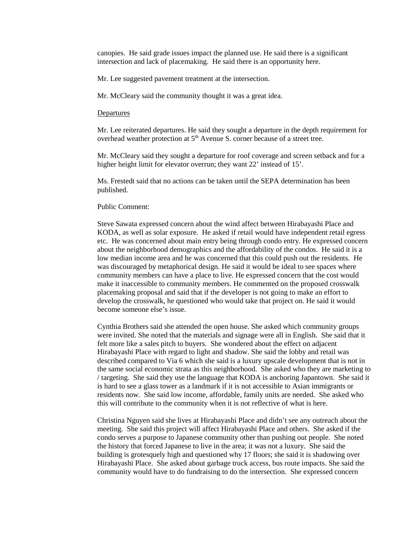canopies. He said grade issues impact the planned use. He said there is a significant intersection and lack of placemaking. He said there is an opportunity here.

Mr. Lee suggested pavement treatment at the intersection.

Mr. McCleary said the community thought it was a great idea.

#### **Departures**

Mr. Lee reiterated departures. He said they sought a departure in the depth requirement for overhead weather protection at 5<sup>th</sup> Avenue S. corner because of a street tree.

Mr. McCleary said they sought a departure for roof coverage and screen setback and for a higher height limit for elevator overrun; they want 22' instead of 15'.

Ms. Frestedt said that no actions can be taken until the SEPA determination has been published.

#### Public Comment:

Steve Sawata expressed concern about the wind affect between Hirabayashi Place and KODA, as well as solar exposure. He asked if retail would have independent retail egress etc. He was concerned about main entry being through condo entry. He expressed concern about the neighborhood demographics and the affordability of the condos. He said it is a low median income area and he was concerned that this could push out the residents. He was discouraged by metaphorical design. He said it would be ideal to see spaces where community members can have a place to live. He expressed concern that the cost would make it inaccessible to community members. He commented on the proposed crosswalk placemaking proposal and said that if the developer is not going to make an effort to develop the crosswalk, he questioned who would take that project on. He said it would become someone else's issue.

Cynthia Brothers said she attended the open house. She asked which community groups were invited. She noted that the materials and signage were all in English. She said that it felt more like a sales pitch to buyers. She wondered about the effect on adjacent Hirabayashi Place with regard to light and shadow. She said the lobby and retail was described compared to Via 6 which she said is a luxury upscale development that is not in the same social economic strata as this neighborhood. She asked who they are marketing to / targeting. She said they use the language that KODA is anchoring Japantown. She said it is hard to see a glass tower as a landmark if it is not accessible to Asian immigrants or residents now. She said low income, affordable, family units are needed. She asked who this will contribute to the community when it is not reflective of what is here.

Christina Nguyen said she lives at Hirabayashi Place and didn't see any outreach about the meeting. She said this project will affect Hirabayashi Place and others. She asked if the condo serves a purpose to Japanese community other than pushing out people. She noted the history that forced Japanese to live in the area; it was not a luxury. She said the building is grotesquely high and questioned why 17 floors; she said it is shadowing over Hirabayashi Place. She asked about garbage truck access, bus route impacts. She said the community would have to do fundraising to do the intersection. She expressed concern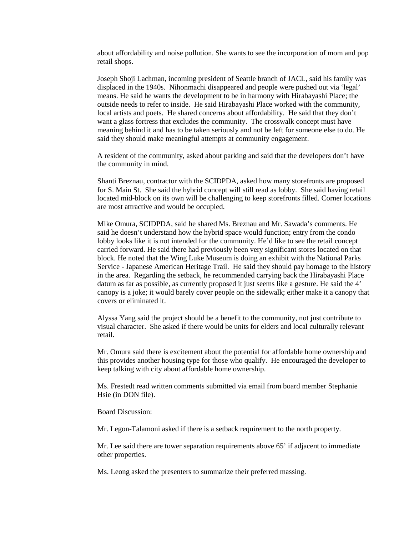about affordability and noise pollution. She wants to see the incorporation of mom and pop retail shops.

Joseph Shoji Lachman, incoming president of Seattle branch of JACL, said his family was displaced in the 1940s. Nihonmachi disappeared and people were pushed out via 'legal' means. He said he wants the development to be in harmony with Hirabayashi Place; the outside needs to refer to inside. He said Hirabayashi Place worked with the community, local artists and poets. He shared concerns about affordability. He said that they don't want a glass fortress that excludes the community. The crosswalk concept must have meaning behind it and has to be taken seriously and not be left for someone else to do. He said they should make meaningful attempts at community engagement.

A resident of the community, asked about parking and said that the developers don't have the community in mind.

Shanti Breznau, contractor with the SCIDPDA, asked how many storefronts are proposed for S. Main St. She said the hybrid concept will still read as lobby. She said having retail located mid-block on its own will be challenging to keep storefronts filled. Corner locations are most attractive and would be occupied.

Mike Omura, SCIDPDA, said he shared Ms. Breznau and Mr. Sawada's comments. He said he doesn't understand how the hybrid space would function; entry from the condo lobby looks like it is not intended for the community. He'd like to see the retail concept carried forward. He said there had previously been very significant stores located on that block. He noted that the Wing Luke Museum is doing an exhibit with the National Parks Service - Japanese American Heritage Trail. He said they should pay homage to the history in the area. Regarding the setback, he recommended carrying back the Hirabayashi Place datum as far as possible, as currently proposed it just seems like a gesture. He said the 4' canopy is a joke; it would barely cover people on the sidewalk; either make it a canopy that covers or eliminated it.

Alyssa Yang said the project should be a benefit to the community, not just contribute to visual character. She asked if there would be units for elders and local culturally relevant retail.

Mr. Omura said there is excitement about the potential for affordable home ownership and this provides another housing type for those who qualify. He encouraged the developer to keep talking with city about affordable home ownership.

Ms. Frestedt read written comments submitted via email from board member Stephanie Hsie (in DON file).

Board Discussion:

Mr. Legon-Talamoni asked if there is a setback requirement to the north property.

Mr. Lee said there are tower separation requirements above 65' if adjacent to immediate other properties.

Ms. Leong asked the presenters to summarize their preferred massing.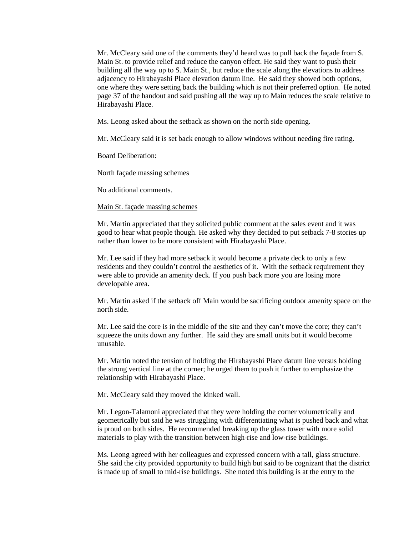Mr. McCleary said one of the comments they'd heard was to pull back the façade from S. Main St. to provide relief and reduce the canyon effect. He said they want to push their building all the way up to S. Main St., but reduce the scale along the elevations to address adjacency to Hirabayashi Place elevation datum line. He said they showed both options, one where they were setting back the building which is not their preferred option. He noted page 37 of the handout and said pushing all the way up to Main reduces the scale relative to Hirabayashi Place.

Ms. Leong asked about the setback as shown on the north side opening.

Mr. McCleary said it is set back enough to allow windows without needing fire rating.

Board Deliberation:

North façade massing schemes

No additional comments.

### Main St. façade massing schemes

Mr. Martin appreciated that they solicited public comment at the sales event and it was good to hear what people though. He asked why they decided to put setback 7-8 stories up rather than lower to be more consistent with Hirabayashi Place.

Mr. Lee said if they had more setback it would become a private deck to only a few residents and they couldn't control the aesthetics of it. With the setback requirement they were able to provide an amenity deck. If you push back more you are losing more developable area.

Mr. Martin asked if the setback off Main would be sacrificing outdoor amenity space on the north side.

Mr. Lee said the core is in the middle of the site and they can't move the core; they can't squeeze the units down any further. He said they are small units but it would become unusable.

Mr. Martin noted the tension of holding the Hirabayashi Place datum line versus holding the strong vertical line at the corner; he urged them to push it further to emphasize the relationship with Hirabayashi Place.

Mr. McCleary said they moved the kinked wall.

Mr. Legon-Talamoni appreciated that they were holding the corner volumetrically and geometrically but said he was struggling with differentiating what is pushed back and what is proud on both sides. He recommended breaking up the glass tower with more solid materials to play with the transition between high-rise and low-rise buildings.

Ms. Leong agreed with her colleagues and expressed concern with a tall, glass structure. She said the city provided opportunity to build high but said to be cognizant that the district is made up of small to mid-rise buildings. She noted this building is at the entry to the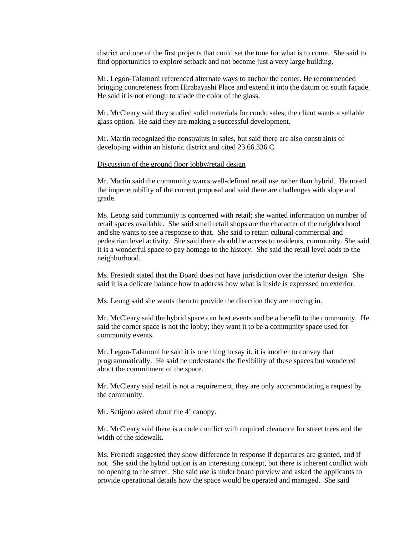district and one of the first projects that could set the tone for what is to come. She said to find opportunities to explore setback and not become just a very large building.

Mr. Legon-Talamoni referenced alternate ways to anchor the corner. He recommended bringing concreteness from Hirabayashi Place and extend it into the datum on south façade. He said it is not enough to shade the color of the glass.

Mr. McCleary said they studied solid materials for condo sales; the client wants a sellable glass option. He said they are making a successful development.

Mr. Martin recognized the constraints in sales, but said there are also constraints of developing within an historic district and cited 23.66.336 C.

### Discussion of the ground floor lobby/retail design

Mr. Martin said the community wants well-defined retail use rather than hybrid. He noted the impenetrability of the current proposal and said there are challenges with slope and grade.

Ms. Leong said community is concerned with retail; she wanted information on number of retail spaces available. She said small retail shops are the character of the neighborhood and she wants to see a response to that. She said to retain cultural commercial and pedestrian level activity. She said there should be access to residents, community. She said it is a wonderful space to pay homage to the history. She said the retail level adds to the neighborhood.

Ms. Frestedt stated that the Board does not have jurisdiction over the interior design. She said it is a delicate balance how to address how what is inside is expressed on exterior.

Ms. Leong said she wants them to provide the direction they are moving in.

Mr. McCleary said the hybrid space can host events and be a benefit to the community. He said the corner space is not the lobby; they want it to be a community space used for community events.

Mr. Legon-Talamoni he said it is one thing to say it, it is another to convey that programmatically. He said he understands the flexibility of these spaces but wondered about the commitment of the space.

Mr. McCleary said retail is not a requirement, they are only accommodating a request by the community.

Mr. Setijono asked about the 4' canopy.

Mr. McCleary said there is a code conflict with required clearance for street trees and the width of the sidewalk.

Ms. Frestedt suggested they show difference in response if departures are granted, and if not. She said the hybrid option is an interesting concept, but there is inherent conflict with no opening to the street. She said use is under board purview and asked the applicants to provide operational details how the space would be operated and managed. She said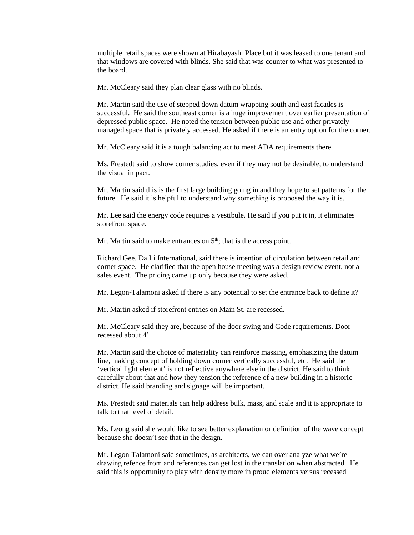multiple retail spaces were shown at Hirabayashi Place but it was leased to one tenant and that windows are covered with blinds. She said that was counter to what was presented to the board.

Mr. McCleary said they plan clear glass with no blinds.

Mr. Martin said the use of stepped down datum wrapping south and east facades is successful. He said the southeast corner is a huge improvement over earlier presentation of depressed public space. He noted the tension between public use and other privately managed space that is privately accessed. He asked if there is an entry option for the corner.

Mr. McCleary said it is a tough balancing act to meet ADA requirements there.

Ms. Frestedt said to show corner studies, even if they may not be desirable, to understand the visual impact.

Mr. Martin said this is the first large building going in and they hope to set patterns for the future. He said it is helpful to understand why something is proposed the way it is.

Mr. Lee said the energy code requires a vestibule. He said if you put it in, it eliminates storefront space.

Mr. Martin said to make entrances on  $5<sup>th</sup>$ ; that is the access point.

Richard Gee, Da Li International, said there is intention of circulation between retail and corner space. He clarified that the open house meeting was a design review event, not a sales event. The pricing came up only because they were asked.

Mr. Legon-Talamoni asked if there is any potential to set the entrance back to define it?

Mr. Martin asked if storefront entries on Main St. are recessed.

Mr. McCleary said they are, because of the door swing and Code requirements. Door recessed about 4'.

Mr. Martin said the choice of materiality can reinforce massing, emphasizing the datum line, making concept of holding down corner vertically successful, etc. He said the 'vertical light element' is not reflective anywhere else in the district. He said to think carefully about that and how they tension the reference of a new building in a historic district. He said branding and signage will be important.

Ms. Frestedt said materials can help address bulk, mass, and scale and it is appropriate to talk to that level of detail.

Ms. Leong said she would like to see better explanation or definition of the wave concept because she doesn't see that in the design.

Mr. Legon-Talamoni said sometimes, as architects, we can over analyze what we're drawing refence from and references can get lost in the translation when abstracted. He said this is opportunity to play with density more in proud elements versus recessed